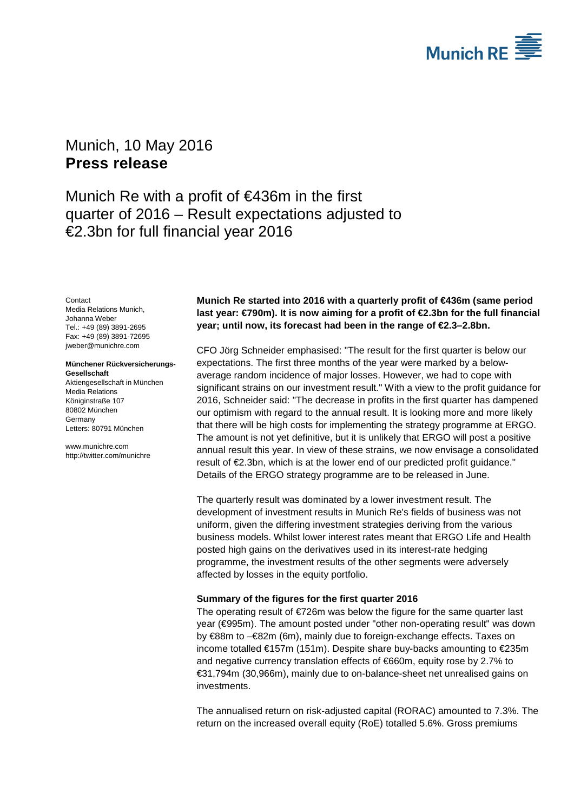

# <span id="page-0-1"></span><span id="page-0-0"></span>Munich, 10 May 2016 **Press release**

Munich Re with a profit of €436m in the first quarter of 2016 – Result expectations adjusted to €2.3bn for full financial year 2016

<span id="page-0-3"></span><span id="page-0-2"></span>**Contact** Media Relations Munich, Johanna Weber Tel.: +49 (89) 3891-2695 Fax: +49 (89) 3891-72695 jweber@munichre.com

### **Münchener Rückversicherungs-Gesellschaft**

Aktiengesellschaft in München Media Relations Königinstraße 107 80802 München Germany Letters: 80791 München

www.munichre.com http://twitter.com/munichre

# **Munich Re started into 2016 with a quarterly profit of €436m (same period last year: €790m). It is now aiming for a profit of €2.3bn for the full financial year; until now, its forecast had been in the range of €2.3–2.8bn.**

CFO Jörg Schneider emphasised: "The result for the first quarter is below our expectations. The first three months of the year were marked by a belowaverage random incidence of major losses. However, we had to cope with significant strains on our investment result." With a view to the profit guidance for 2016, Schneider said: "The decrease in profits in the first quarter has dampened our optimism with regard to the annual result. It is looking more and more likely that there will be high costs for implementing the strategy programme at ERGO. The amount is not yet definitive, but it is unlikely that ERGO will post a positive annual result this year. In view of these strains, we now envisage a consolidated result of €2.3bn, which is at the lower end of our predicted profit guidance." Details of the ERGO strategy programme are to be released in June.

The quarterly result was dominated by a lower investment result. The development of investment results in Munich Re's fields of business was not uniform, given the differing investment strategies deriving from the various business models. Whilst lower interest rates meant that ERGO Life and Health posted high gains on the derivatives used in its interest-rate hedging programme, the investment results of the other segments were adversely affected by losses in the equity portfolio.

## **Summary of the figures for the first quarter 2016**

The operating result of  $E$ 726m was below the figure for the same quarter last year (€995m). The amount posted under "other non-operating result" was down by €88m to –€82m (6m), mainly due to foreign-exchange effects. Taxes on income totalled €157m (151m). Despite share buy-backs amounting to €235m and negative currency translation effects of €660m, equity rose by 2.7% to €31,794m (30,966m), mainly due to on-balance-sheet net unrealised gains on investments.

The annualised return on risk-adjusted capital (RORAC) amounted to 7.3%. The return on the increased overall equity (RoE) totalled 5.6%. Gross premiums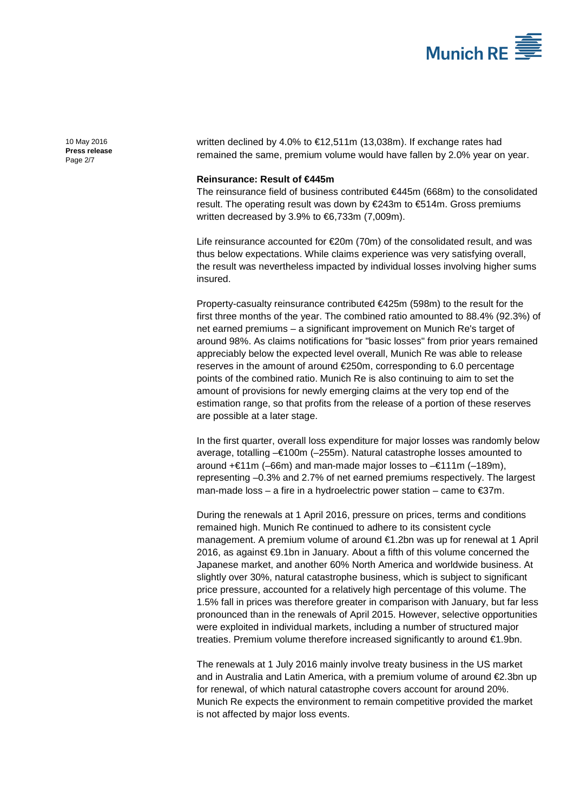

[10 May 2016](#page-0-0) **Press [release](#page-0-1)** Page 2/7

written declined by 4.0% to €12,511m (13,038m). If exchange rates had remained the same, premium volume would have fallen by 2.0% year on year.

## **Reinsurance: Result of €445m**

The reinsurance field of business contributed €445m (668m) to the consolidated result. The operating result was down by €243m to €514m. Gross premiums written decreased by 3.9% to  $6,733$ m (7,009m).

Life reinsurance accounted for €20m (70m) of the consolidated result, and was thus below expectations. While claims experience was very satisfying overall, the result was nevertheless impacted by individual losses involving higher sums insured.

Property-casualty reinsurance contributed €425m (598m) to the result for the first three months of the year. The combined ratio amounted to 88.4% (92.3%) of net earned premiums – a significant improvement on Munich Re's target of around 98%. As claims notifications for "basic losses" from prior years remained appreciably below the expected level overall, Munich Re was able to release reserves in the amount of around €250m, corresponding to 6.0 percentage points of the combined ratio. Munich Re is also continuing to aim to set the amount of provisions for newly emerging claims at the very top end of the estimation range, so that profits from the release of a portion of these reserves are possible at a later stage.

In the first quarter, overall loss expenditure for major losses was randomly below average, totalling –€100m (–255m). Natural catastrophe losses amounted to around +€11m (–66m) and man-made major losses to –€111m (–189m), representing –0.3% and 2.7% of net earned premiums respectively. The largest man-made loss – a fire in a hydroelectric power station – came to  $\epsilon$ 37m.

During the renewals at 1 April 2016, pressure on prices, terms and conditions remained high. Munich Re continued to adhere to its consistent cycle management. A premium volume of around €1.2bn was up for renewal at 1 April 2016, as against **€**9.1bn in January. About a fifth of this volume concerned the Japanese market, and another 60% North America and worldwide business. At slightly over 30%, natural catastrophe business, which is subject to significant price pressure, accounted for a relatively high percentage of this volume. The 1.5% fall in prices was therefore greater in comparison with January, but far less pronounced than in the renewals of April 2015. However, selective opportunities were exploited in individual markets, including a number of structured major treaties. Premium volume therefore increased significantly to around €1.9bn.

The renewals at 1 July 2016 mainly involve treaty business in the US market and in Australia and Latin America, with a premium volume of around €2.3bn up for renewal, of which natural catastrophe covers account for around 20%. Munich Re expects the environment to remain competitive provided the market is not affected by major loss events.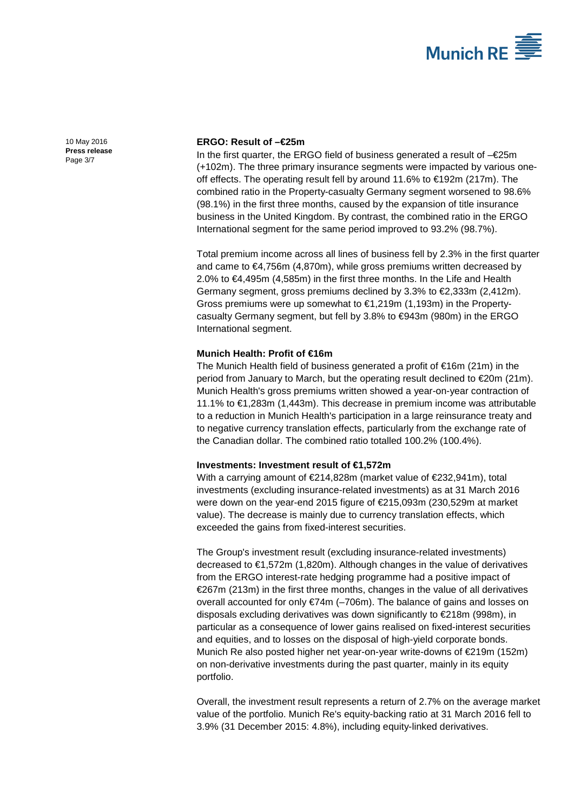

[10 May 2016](#page-0-0) **Press [release](#page-0-1)** Page 3/7

## **ERGO: Result of –€25m**

In the first quarter, the ERGO field of business generated a result of –€25m (+102m). The three primary insurance segments were impacted by various oneoff effects. The operating result fell by around 11.6% to €192m (217m). The combined ratio in the Property-casualty Germany segment worsened to 98.6% (98.1%) in the first three months, caused by the expansion of title insurance business in the United Kingdom. By contrast, the combined ratio in the ERGO International segment for the same period improved to 93.2% (98.7%).

Total premium income across all lines of business fell by 2.3% in the first quarter and came to  $\epsilon$ 4,756m (4,870m), while gross premiums written decreased by 2.0% to €4,495m (4,585m) in the first three months. In the Life and Health Germany segment, gross premiums declined by 3.3% to  $\epsilon$ 2,333m (2,412m). Gross premiums were up somewhat to €1,219m (1,193m) in the Propertycasualty Germany segment, but fell by 3.8% to €943m (980m) in the ERGO International segment.

## **Munich Health: Profit of €16m**

The Munich Health field of business generated a profit of €16m (21m) in the period from January to March, but the operating result declined to €20m (21m). Munich Health's gross premiums written showed a year-on-year contraction of 11.1% to €1,283m (1,443m). This decrease in premium income was attributable to a reduction in Munich Health's participation in a large reinsurance treaty and to negative currency translation effects, particularly from the exchange rate of the Canadian dollar. The combined ratio totalled 100.2% (100.4%).

### **Investments: Investment result of €1,572m**

With a carrying amount of €214,828m (market value of €232,941m), total investments (excluding insurance-related investments) as at 31 March 2016 were down on the year-end 2015 figure of €215,093m (230,529m at market value). The decrease is mainly due to currency translation effects, which exceeded the gains from fixed-interest securities.

The Group's investment result (excluding insurance-related investments) decreased to €1,572m (1,820m). Although changes in the value of derivatives from the ERGO interest-rate hedging programme had a positive impact of €267m (213m) in the first three months, changes in the value of all derivatives overall accounted for only  $\epsilon$ 74m (-706m). The balance of gains and losses on disposals excluding derivatives was down significantly to €218m (998m), in particular as a consequence of lower gains realised on fixed-interest securities and equities, and to losses on the disposal of high-yield corporate bonds. Munich Re also posted higher net year-on-year write-downs of €219m (152m) on non-derivative investments during the past quarter, mainly in its equity portfolio.

Overall, the investment result represents a return of 2.7% on the average market value of the portfolio. Munich Re's equity-backing ratio at 31 March 2016 fell to 3.9% (31 December 2015: 4.8%), including equity-linked derivatives.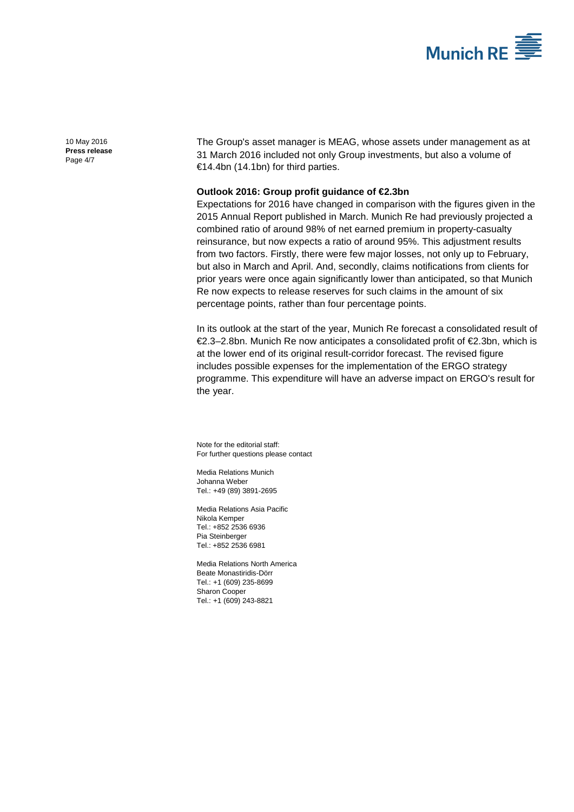

[10 May 2016](#page-0-0) **Press [release](#page-0-1)** Page 4/7

The Group's asset manager is MEAG, whose assets under management as at 31 March 2016 included not only Group investments, but also a volume of €14.4bn (14.1bn) for third parties.

## **Outlook 2016: Group profit guidance of €2.3bn**

Expectations for 2016 have changed in comparison with the figures given in the 2015 Annual Report published in March. Munich Re had previously projected a combined ratio of around 98% of net earned premium in property-casualty reinsurance, but now expects a ratio of around 95%. This adjustment results from two factors. Firstly, there were few major losses, not only up to February, but also in March and April. And, secondly, claims notifications from clients for prior years were once again significantly lower than anticipated, so that Munich Re now expects to release reserves for such claims in the amount of six percentage points, rather than four percentage points.

In its outlook at the start of the year, Munich Re forecast a consolidated result of €2.3–2.8bn. Munich Re now anticipates a consolidated profit of €2.3bn, which is at the lower end of its original result-corridor forecast. The revised figure includes possible expenses for the implementation of the ERGO strategy programme. This expenditure will have an adverse impact on ERGO's result for the year.

Note for the editorial staff: For further questions please contact

Media Relations Munich [Johanna Weber](#page-0-2) Tel.: +49 (89) 389[1-2695](#page-0-3)

Media Relations Asia Pacific Nikola Kemper Tel.: +852 2536 6936 Pia Steinberger Tel.: +852 2536 6981

Media Relations North America Beate Monastiridis-Dörr Tel.: +1 (609) 235-8699 Sharon Cooper Tel.: +1 (609) 243-8821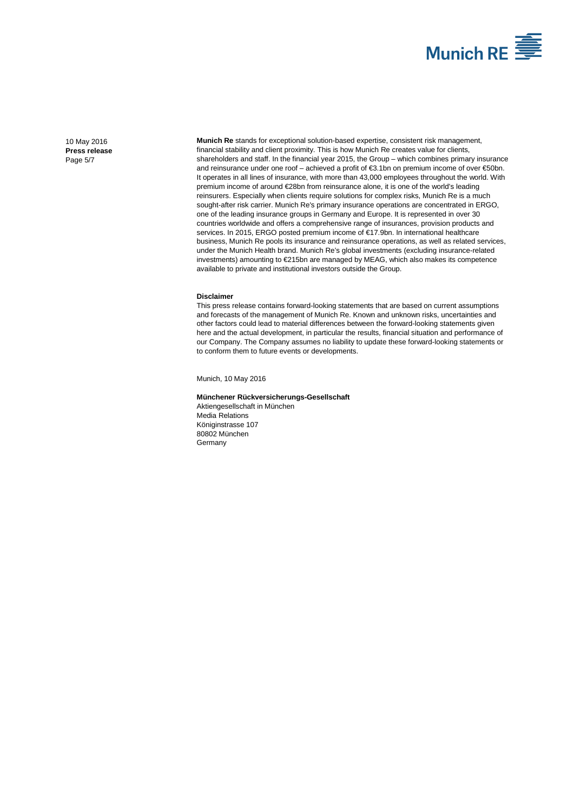

[10 May 2016](#page-0-0) **Press [release](#page-0-1)** Page 5/7

**Munich Re** stands for exceptional solution-based expertise, consistent risk management, financial stability and client proximity. This is how Munich Re creates value for clients, shareholders and staff. In the financial year 2015, the Group – which combines primary insurance and reinsurance under one roof – achieved a profit of €3.1bn on premium income of over €50bn. It operates in all lines of insurance, with more than 43,000 employees throughout the world. With premium income of around €28bn from reinsurance alone, it is one of the world's leading reinsurers. Especially when clients require solutions for complex risks, Munich Re is a much sought-after risk carrier. Munich Re's primary insurance operations are concentrated in ERGO, one of the leading insurance groups in Germany and Europe. It is represented in over 30 countries worldwide and offers a comprehensive range of insurances, provision products and services. In 2015, ERGO posted premium income of €17.9bn. In international healthcare business, Munich Re pools its insurance and reinsurance operations, as well as related services, under the Munich Health brand. Munich Re's global investments (excluding insurance-related investments) amounting to €215bn are managed by MEAG, which also makes its competence available to private and institutional investors outside the Group.

#### **Disclaimer**

This press release contains forward-looking statements that are based on current assumptions and forecasts of the management of Munich Re. Known and unknown risks, uncertainties and other factors could lead to material differences between the forward-looking statements given here and the actual development, in particular the results, financial situation and performance of our Company. The Company assumes no liability to update these forward-looking statements or to conform them to future events or developments.

Munich[, 10 May 2016](#page-0-0)

#### **Münchener Rückversicherungs-Gesellschaft**

Aktiengesellschaft in München Media Relations Königinstrasse 107 80802 München **Germany**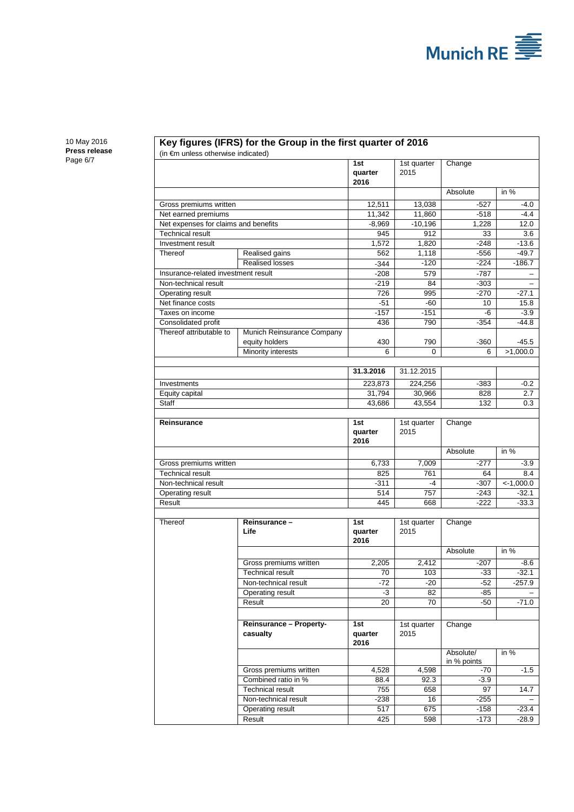

[10 May 2016](#page-0-0) **Press [release](#page-0-1)** Page 6/7

## **Key figures (IFRS) for the Group in the first quarter of 2016**

(in €m unless otherwise indicated)

| in an amooo othor moo maloatoa       |                                              |                        |                     |                          |                   |
|--------------------------------------|----------------------------------------------|------------------------|---------------------|--------------------------|-------------------|
|                                      |                                              | 1st<br>quarter<br>2016 | 1st quarter<br>2015 | Change                   |                   |
|                                      |                                              |                        |                     | Absolute                 | in %              |
| Gross premiums written               |                                              | 12,511                 | 13,038              | $-527$                   | $-4.0$            |
| Net earned premiums                  |                                              | 11,342                 | 11,860              | $-518$                   | $-4.4$            |
| Net expenses for claims and benefits |                                              | $-8,969$               | $-10,196$           | 1,228                    | 12.0              |
| <b>Technical result</b>              |                                              | 945                    | 912                 | 33                       | 3.6               |
| Investment result                    |                                              | 1,572                  | 1,820               | $-248$                   | $-13.6$           |
| Thereof                              | Realised gains                               | 562                    | 1,118               | $-556$                   | $-49.7$           |
|                                      | <b>Realised losses</b>                       | $-344$                 | $-120$              | $-224$                   | $-186.7$          |
| Insurance-related investment result  |                                              | $-208$                 | 579                 | $-787$                   | $\qquad \qquad -$ |
| Non-technical result                 |                                              | $-219$                 | 84                  | $-303$                   |                   |
| Operating result                     |                                              | 726                    | 995                 | $-270$                   | $-27.1$           |
| Net finance costs                    |                                              | $-51$                  | $-60$               | 10                       | 15.8              |
| Taxes on income                      |                                              | $-157$                 | $-151$              | -6                       | $-3.9$            |
| Consolidated profit                  |                                              | 436                    | 790                 | $-354$                   | $-44.8$           |
| Thereof attributable to              | Munich Reinsurance Company<br>equity holders | 430                    | 790                 | $-360$                   | -45.5             |
|                                      | Minority interests                           | 6                      | 0                   | 6                        | >1,000.0          |
|                                      |                                              | 31.3.2016              | 31.12.2015          |                          |                   |
| Investments                          |                                              | 223,873                | 224,256             | $-383$                   | $-0.2$            |
| Equity capital                       |                                              | 31,794                 | 30,966              | 828                      | 2.7               |
| Staff                                |                                              | 43,686                 | 43,554              | 132                      | 0.3               |
|                                      |                                              |                        |                     |                          |                   |
| <b>Reinsurance</b>                   |                                              | 1st<br>quarter<br>2016 | 1st quarter<br>2015 | Change                   |                   |
|                                      |                                              |                        |                     | Absolute                 | in $%$            |
| Gross premiums written               |                                              | 6,733                  | 7,009               | $-277$                   | $-3.9$            |
| <b>Technical result</b>              |                                              | 825                    | 761                 | 64                       | 8.4               |
| Non-technical result                 |                                              | $-311$                 | -4                  | $-307$                   | $< -1,000.0$      |
| Operating result                     |                                              | 514                    | 757                 | $-243$                   | $-32.1$           |
| Result                               |                                              | 445                    | 668                 | $-222$                   | $-33.3$           |
|                                      |                                              |                        |                     |                          |                   |
| <b>Thereof</b>                       | Reinsurance-<br>Life                         | 1st<br>quarter<br>2016 | 1st quarter<br>2015 | Change                   |                   |
|                                      |                                              |                        |                     | Absolute                 | in %              |
|                                      | Gross premiums written                       | 2,205                  | 2,412               | $-207$                   | $-8.6$            |
|                                      | <b>Technical result</b>                      | 70                     | 103                 | -33                      | $-32.1$           |
|                                      | Non-technical result                         | $-72$                  | $-20$               | $-52$                    | $-257.9$          |
|                                      | Operating result                             | -3                     | 82                  | -85                      |                   |
|                                      | Result                                       | 20                     | 70                  | -50                      | $-71.0$           |
|                                      |                                              |                        |                     |                          |                   |
|                                      | Reinsurance - Property-<br>casualty          | 1st<br>quarter<br>2016 | 1st quarter<br>2015 | Change                   |                   |
|                                      |                                              |                        |                     | Absolute/<br>in % points | in %              |
|                                      | Gross premiums written                       | 4,528                  | 4,598               | -70                      | $-1.5$            |
|                                      | Combined ratio in %                          | 88.4                   | 92.3                | $-3.9$                   |                   |
|                                      | <b>Technical result</b>                      | 755                    | 658                 | 97                       | 14.7              |
|                                      | Non-technical result                         | -238                   | 16                  | $-255$                   |                   |
|                                      | Operating result                             | 517                    | 675                 | $-158$                   | $-23.4$           |
|                                      | Result                                       | 425                    | 598                 | $-173$                   | $-28.9$           |